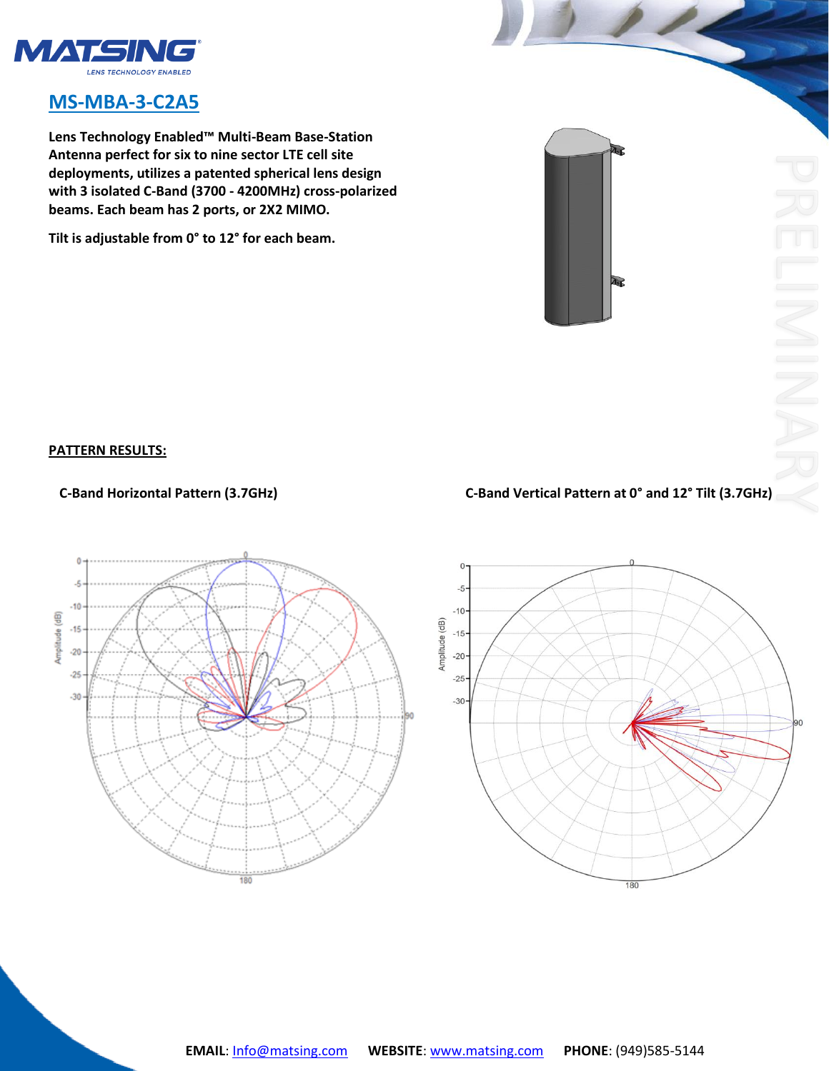

## **MS-MBA-3-C2A5**

**Lens Technology Enabled™ Multi-Beam Base-Station Antenna perfect for six to nine sector LTE cell site deployments, utilizes a patented spherical lens design with 3 isolated C-Band (3700 - 4200MHz) cross-polarized beams. Each beam has 2 ports, or 2X2 MIMO.** 

**Tilt is adjustable from 0° to 12° for each beam.**

## **PATTERN RESULTS:**

## **C-Band Horizontal Pattern (3.7GHz) C-Band Vertical Pattern at 0° and 12° Tilt (3.7GHz)**

Г.